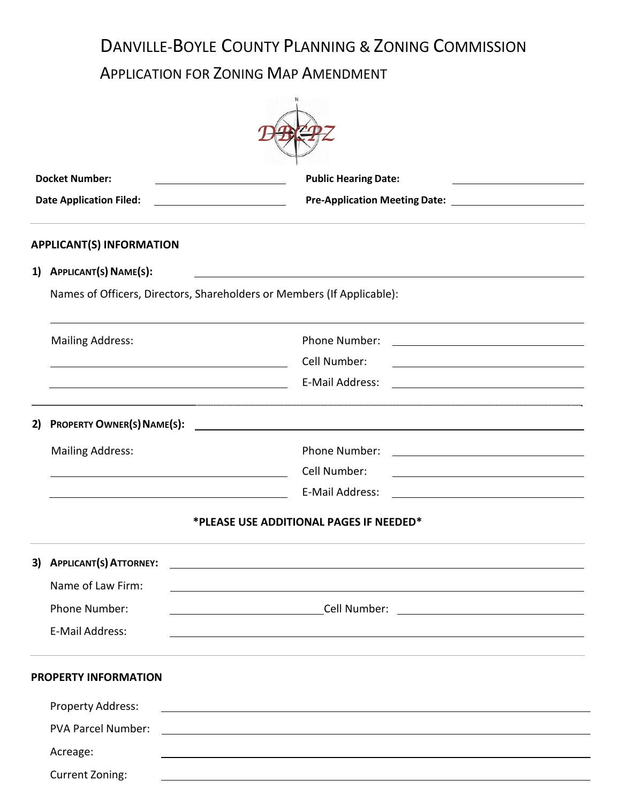# DANVILLE-BOYLE COUNTY PLANNING & ZONING COMMISSION

## APPLICATION FOR ZONING MAP AMENDMENT

| <b>Docket Number:</b><br><b>Date Application Filed:</b> |                                                                                                                      | <b>Public Hearing Date:</b>                                                                                            |  |  |
|---------------------------------------------------------|----------------------------------------------------------------------------------------------------------------------|------------------------------------------------------------------------------------------------------------------------|--|--|
|                                                         |                                                                                                                      |                                                                                                                        |  |  |
| 1)                                                      | APPLICANT(S) NAME(S):                                                                                                |                                                                                                                        |  |  |
|                                                         | Names of Officers, Directors, Shareholders or Members (If Applicable):                                               |                                                                                                                        |  |  |
|                                                         | <b>Mailing Address:</b>                                                                                              | Phone Number:                                                                                                          |  |  |
|                                                         | <u> 1989 - Johann Stein, marwolaethau a bhann an t-Amhair an t-Amhair an t-Amhair an t-Amhair an t-Amhair an t-A</u> | Cell Number:                                                                                                           |  |  |
|                                                         | <u> 1989 - Johann Barn, mars eta biztanleria (</u>                                                                   | E-Mail Address:                                                                                                        |  |  |
| 2)                                                      | <b>PROPERTY OWNER(S) NAME(S):</b>                                                                                    |                                                                                                                        |  |  |
|                                                         | <b>Mailing Address:</b>                                                                                              | Phone Number:                                                                                                          |  |  |
|                                                         |                                                                                                                      | Cell Number:                                                                                                           |  |  |
|                                                         |                                                                                                                      | E-Mail Address:                                                                                                        |  |  |
|                                                         |                                                                                                                      | *PLEASE USE ADDITIONAL PAGES IF NEEDED*                                                                                |  |  |
|                                                         | 3) APPLICANT(S) ATTORNEY:                                                                                            |                                                                                                                        |  |  |
|                                                         | Name of Law Firm:                                                                                                    |                                                                                                                        |  |  |
|                                                         | Phone Number:                                                                                                        |                                                                                                                        |  |  |
|                                                         | E-Mail Address:                                                                                                      | <u> 1989 - Johann Stoff, deutscher Stoff, der Stoff, der Stoff, der Stoff, der Stoff, der Stoff, der Stoff, der S</u>  |  |  |
|                                                         | <b>PROPERTY INFORMATION</b>                                                                                          |                                                                                                                        |  |  |
|                                                         | Property Address:                                                                                                    | <u> 1989 - Johann Stoff, deutscher Stoffen und der Stoffen und der Stoffen und der Stoffen und der Stoffen und der</u> |  |  |
|                                                         | <b>PVA Parcel Number:</b>                                                                                            |                                                                                                                        |  |  |
|                                                         | Acreage:                                                                                                             | and the control of the control of the control of the control of the control of the control of the control of the       |  |  |
|                                                         | <b>Current Zoning:</b>                                                                                               |                                                                                                                        |  |  |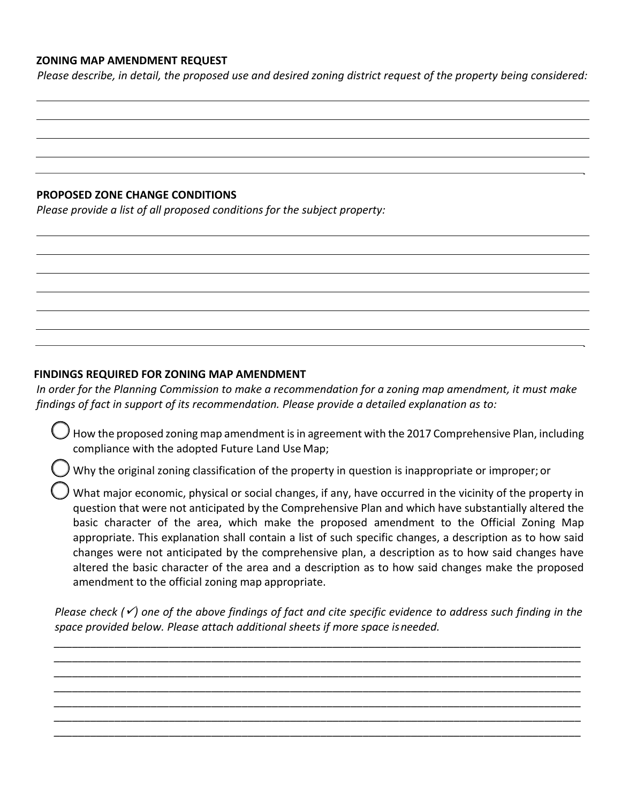### **ZONING MAP AMENDMENT REQUEST**

*Please describe, in detail, the proposed use and desired zoning district request of the property being considered:*

#### **PROPOSED ZONE CHANGE CONDITIONS**

*Please provide a list of all proposed conditions for the subject property:*

#### **FINDINGS REQUIRED FOR ZONING MAP AMENDMENT**

*In order for the Planning Commission to make a recommendation for a zoning map amendment, it must make findings of fact in support of its recommendation. Please provide a detailed explanation as to:*

 How the proposed zoning map amendment is in agreement with the 2017 Comprehensive Plan, including compliance with the adopted Future Land Use Map;

Why the original zoning classification of the property in question is inappropriate or improper; or

 What major economic, physical or social changes, if any, have occurred in the vicinity of the property in question that were not anticipated by the Comprehensive Plan and which have substantially altered the basic character of the area, which make the proposed amendment to the Official Zoning Map appropriate. This explanation shall contain a list of such specific changes, a description as to how said changes were not anticipated by the comprehensive plan, a description as to how said changes have altered the basic character of the area and a description as to how said changes make the proposed amendment to the official zoning map appropriate.

*Please check (*✓*) one of the above findings of fact and cite specific evidence to address such finding in the space provided below. Please attach additional sheets if more space isneeded.*

*\_\_\_\_\_\_\_\_\_\_\_\_\_\_\_\_\_\_\_\_\_\_\_\_\_\_\_\_\_\_\_\_\_\_\_\_\_\_\_\_\_\_\_\_\_\_\_\_\_\_\_\_\_\_\_\_\_\_\_\_\_\_\_\_\_\_\_\_\_\_\_\_\_\_\_\_\_\_\_\_\_\_\_\_\_\_\_ \_\_\_\_\_\_\_\_\_\_\_\_\_\_\_\_\_\_\_\_\_\_\_\_\_\_\_\_\_\_\_\_\_\_\_\_\_\_\_\_\_\_\_\_\_\_\_\_\_\_\_\_\_\_\_\_\_\_\_\_\_\_\_\_\_\_\_\_\_\_\_\_\_\_\_\_\_\_\_\_\_\_\_\_\_\_\_ \_\_\_\_\_\_\_\_\_\_\_\_\_\_\_\_\_\_\_\_\_\_\_\_\_\_\_\_\_\_\_\_\_\_\_\_\_\_\_\_\_\_\_\_\_\_\_\_\_\_\_\_\_\_\_\_\_\_\_\_\_\_\_\_\_\_\_\_\_\_\_\_\_\_\_\_\_\_\_\_\_\_\_\_\_\_\_ \_\_\_\_\_\_\_\_\_\_\_\_\_\_\_\_\_\_\_\_\_\_\_\_\_\_\_\_\_\_\_\_\_\_\_\_\_\_\_\_\_\_\_\_\_\_\_\_\_\_\_\_\_\_\_\_\_\_\_\_\_\_\_\_\_\_\_\_\_\_\_\_\_\_\_\_\_\_\_\_\_\_\_\_\_\_\_ \_\_\_\_\_\_\_\_\_\_\_\_\_\_\_\_\_\_\_\_\_\_\_\_\_\_\_\_\_\_\_\_\_\_\_\_\_\_\_\_\_\_\_\_\_\_\_\_\_\_\_\_\_\_\_\_\_\_\_\_\_\_\_\_\_\_\_\_\_\_\_\_\_\_\_\_\_\_\_\_\_\_\_\_\_\_\_ \_\_\_\_\_\_\_\_\_\_\_\_\_\_\_\_\_\_\_\_\_\_\_\_\_\_\_\_\_\_\_\_\_\_\_\_\_\_\_\_\_\_\_\_\_\_\_\_\_\_\_\_\_\_\_\_\_\_\_\_\_\_\_\_\_\_\_\_\_\_\_\_\_\_\_\_\_\_\_\_\_\_\_\_\_\_\_ \_\_\_\_\_\_\_\_\_\_\_\_\_\_\_\_\_\_\_\_\_\_\_\_\_\_\_\_\_\_\_\_\_\_\_\_\_\_\_\_\_\_\_\_\_\_\_\_\_\_\_\_\_\_\_\_\_\_\_\_\_\_\_\_\_\_\_\_\_\_\_\_\_\_\_\_\_\_\_\_\_\_\_\_\_\_\_*